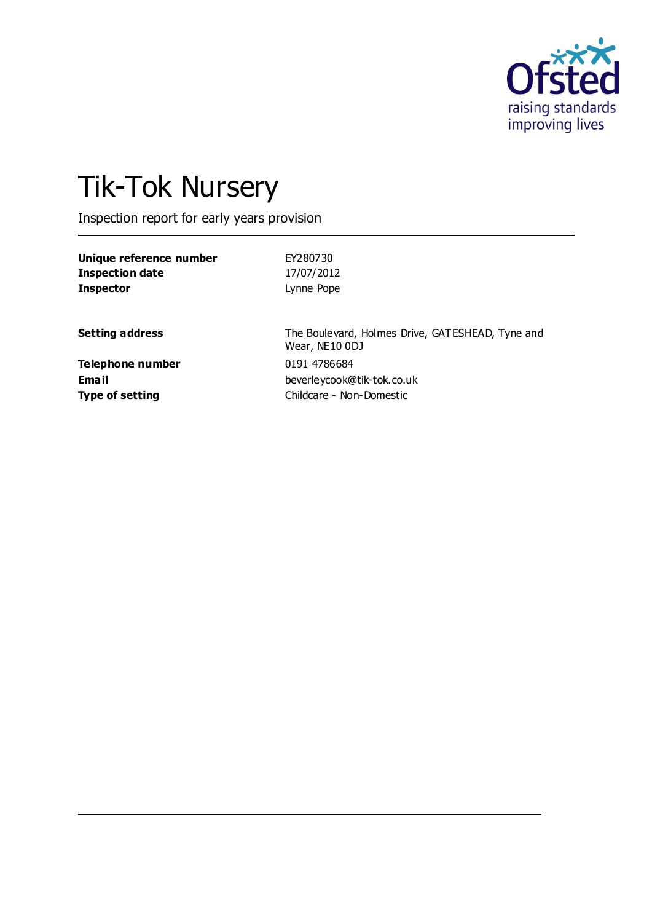

# Tik-Tok Nursery

Inspection report for early years provision

| Unique reference number | EY280730   |
|-------------------------|------------|
| <b>Inspection date</b>  | 17/07/2012 |
| <b>Inspector</b>        | Lynne Pope |
|                         |            |

**Setting address** The Boulevard, Holmes Drive, GATESHEAD, Tyne and Wear, NE10 0DJ **Email** beverleycook@tik-tok.co.uk **Type of setting** Childcare - Non-Domestic

**Telephone number** 0191 4786684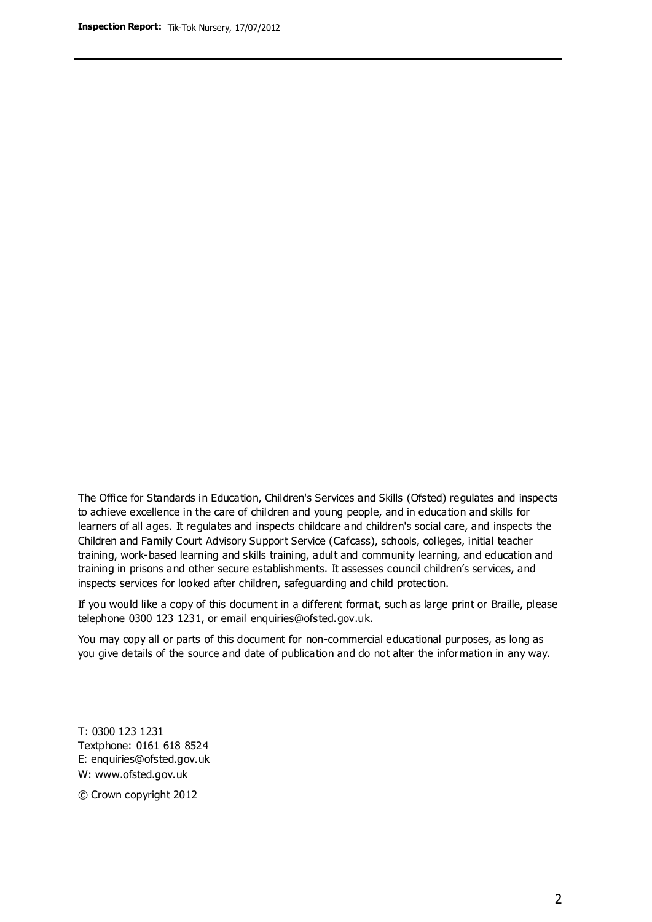The Office for Standards in Education, Children's Services and Skills (Ofsted) regulates and inspects to achieve excellence in the care of children and young people, and in education and skills for learners of all ages. It regulates and inspects childcare and children's social care, and inspects the Children and Family Court Advisory Support Service (Cafcass), schools, colleges, initial teacher training, work-based learning and skills training, adult and community learning, and education and training in prisons and other secure establishments. It assesses council children's services, and inspects services for looked after children, safeguarding and child protection.

If you would like a copy of this document in a different format, such as large print or Braille, please telephone 0300 123 1231, or email enquiries@ofsted.gov.uk.

You may copy all or parts of this document for non-commercial educational purposes, as long as you give details of the source and date of publication and do not alter the information in any way.

T: 0300 123 1231 Textphone: 0161 618 8524 E: enquiries@ofsted.gov.uk W: [www.ofsted.gov.uk](http://www.ofsted.gov.uk/)

© Crown copyright 2012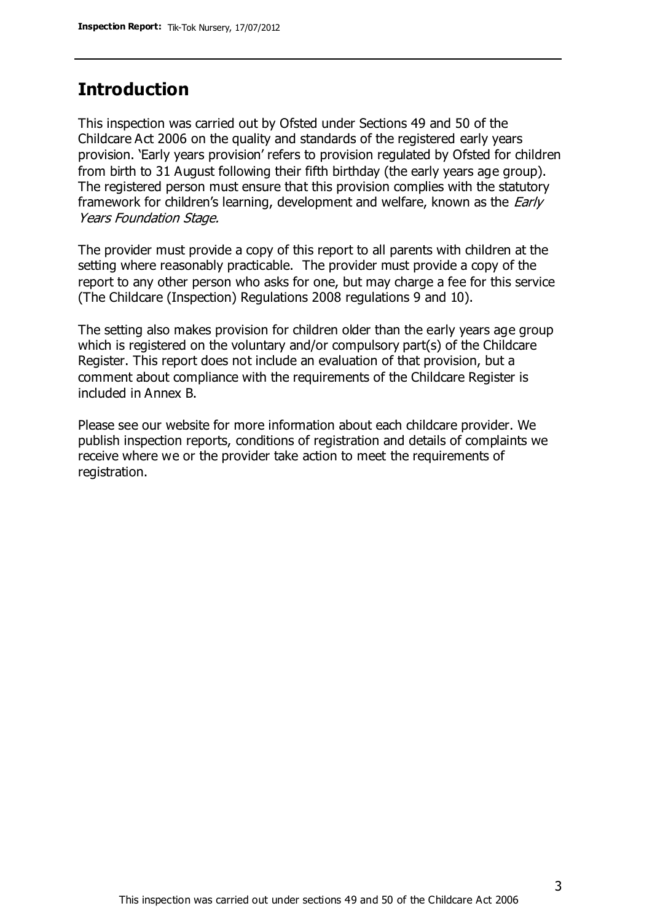### **Introduction**

This inspection was carried out by Ofsted under Sections 49 and 50 of the Childcare Act 2006 on the quality and standards of the registered early years provision. 'Early years provision' refers to provision regulated by Ofsted for children from birth to 31 August following their fifth birthday (the early years age group). The registered person must ensure that this provision complies with the statutory framework for children's learning, development and welfare, known as the *Early* Years Foundation Stage.

The provider must provide a copy of this report to all parents with children at the setting where reasonably practicable. The provider must provide a copy of the report to any other person who asks for one, but may charge a fee for this service (The Childcare (Inspection) Regulations 2008 regulations 9 and 10).

The setting also makes provision for children older than the early years age group which is registered on the voluntary and/or compulsory part(s) of the Childcare Register. This report does not include an evaluation of that provision, but a comment about compliance with the requirements of the Childcare Register is included in Annex B.

Please see our website for more information about each childcare provider. We publish inspection reports, conditions of registration and details of complaints we receive where we or the provider take action to meet the requirements of registration.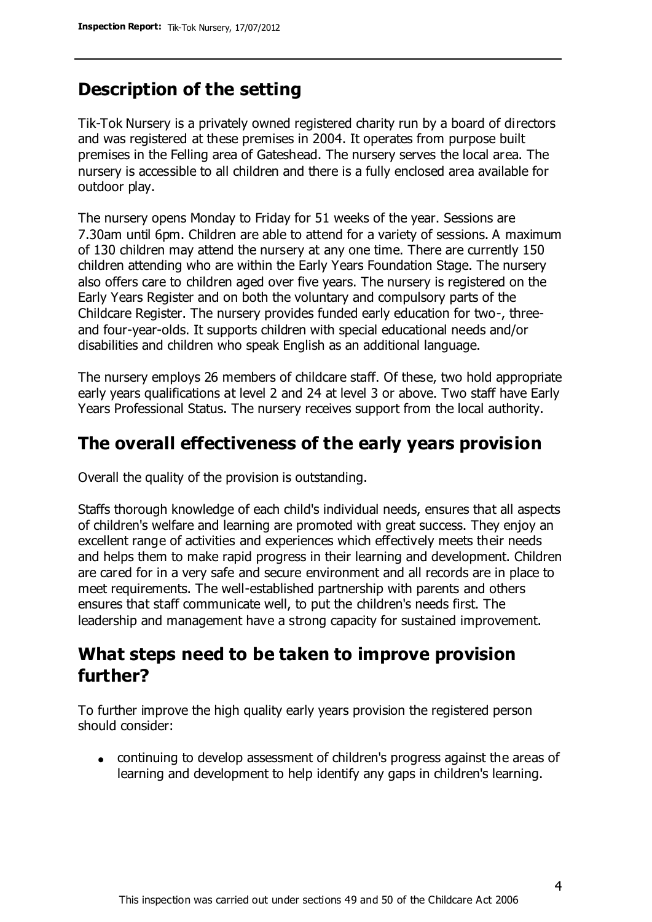### **Description of the setting**

Tik-Tok Nursery is a privately owned registered charity run by a board of directors and was registered at these premises in 2004. It operates from purpose built premises in the Felling area of Gateshead. The nursery serves the local area. The nursery is accessible to all children and there is a fully enclosed area available for outdoor play.

The nursery opens Monday to Friday for 51 weeks of the year. Sessions are 7.30am until 6pm. Children are able to attend for a variety of sessions. A maximum of 130 children may attend the nursery at any one time. There are currently 150 children attending who are within the Early Years Foundation Stage. The nursery also offers care to children aged over five years. The nursery is registered on the Early Years Register and on both the voluntary and compulsory parts of the Childcare Register. The nursery provides funded early education for two-, threeand four-year-olds. It supports children with special educational needs and/or disabilities and children who speak English as an additional language.

The nursery employs 26 members of childcare staff. Of these, two hold appropriate early years qualifications at level 2 and 24 at level 3 or above. Two staff have Early Years Professional Status. The nursery receives support from the local authority.

### **The overall effectiveness of the early years provision**

Overall the quality of the provision is outstanding.

Staffs thorough knowledge of each child's individual needs, ensures that all aspects of children's welfare and learning are promoted with great success. They enjoy an excellent range of activities and experiences which effectively meets their needs and helps them to make rapid progress in their learning and development. Children are cared for in a very safe and secure environment and all records are in place to meet requirements. The well-established partnership with parents and others ensures that staff communicate well, to put the children's needs first. The leadership and management have a strong capacity for sustained improvement.

### **What steps need to be taken to improve provision further?**

To further improve the high quality early years provision the registered person should consider:

continuing to develop assessment of children's progress against the areas of learning and development to help identify any gaps in children's learning.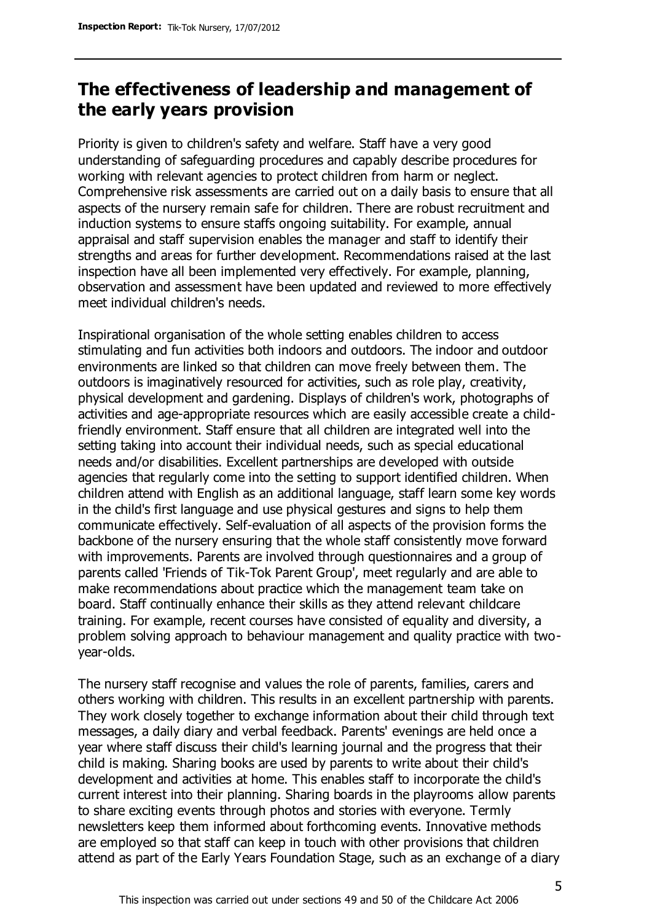### **The effectiveness of leadership and management of the early years provision**

Priority is given to children's safety and welfare. Staff have a very good understanding of safeguarding procedures and capably describe procedures for working with relevant agencies to protect children from harm or neglect. Comprehensive risk assessments are carried out on a daily basis to ensure that all aspects of the nursery remain safe for children. There are robust recruitment and induction systems to ensure staffs ongoing suitability. For example, annual appraisal and staff supervision enables the manager and staff to identify their strengths and areas for further development. Recommendations raised at the last inspection have all been implemented very effectively. For example, planning, observation and assessment have been updated and reviewed to more effectively meet individual children's needs.

Inspirational organisation of the whole setting enables children to access stimulating and fun activities both indoors and outdoors. The indoor and outdoor environments are linked so that children can move freely between them. The outdoors is imaginatively resourced for activities, such as role play, creativity, physical development and gardening. Displays of children's work, photographs of activities and age-appropriate resources which are easily accessible create a childfriendly environment. Staff ensure that all children are integrated well into the setting taking into account their individual needs, such as special educational needs and/or disabilities. Excellent partnerships are developed with outside agencies that regularly come into the setting to support identified children. When children attend with English as an additional language, staff learn some key words in the child's first language and use physical gestures and signs to help them communicate effectively. Self-evaluation of all aspects of the provision forms the backbone of the nursery ensuring that the whole staff consistently move forward with improvements. Parents are involved through questionnaires and a group of parents called 'Friends of Tik-Tok Parent Group', meet regularly and are able to make recommendations about practice which the management team take on board. Staff continually enhance their skills as they attend relevant childcare training. For example, recent courses have consisted of equality and diversity, a problem solving approach to behaviour management and quality practice with twoyear-olds.

The nursery staff recognise and values the role of parents, families, carers and others working with children. This results in an excellent partnership with parents. They work closely together to exchange information about their child through text messages, a daily diary and verbal feedback. Parents' evenings are held once a year where staff discuss their child's learning journal and the progress that their child is making. Sharing books are used by parents to write about their child's development and activities at home. This enables staff to incorporate the child's current interest into their planning. Sharing boards in the playrooms allow parents to share exciting events through photos and stories with everyone. Termly newsletters keep them informed about forthcoming events. Innovative methods are employed so that staff can keep in touch with other provisions that children attend as part of the Early Years Foundation Stage, such as an exchange of a diary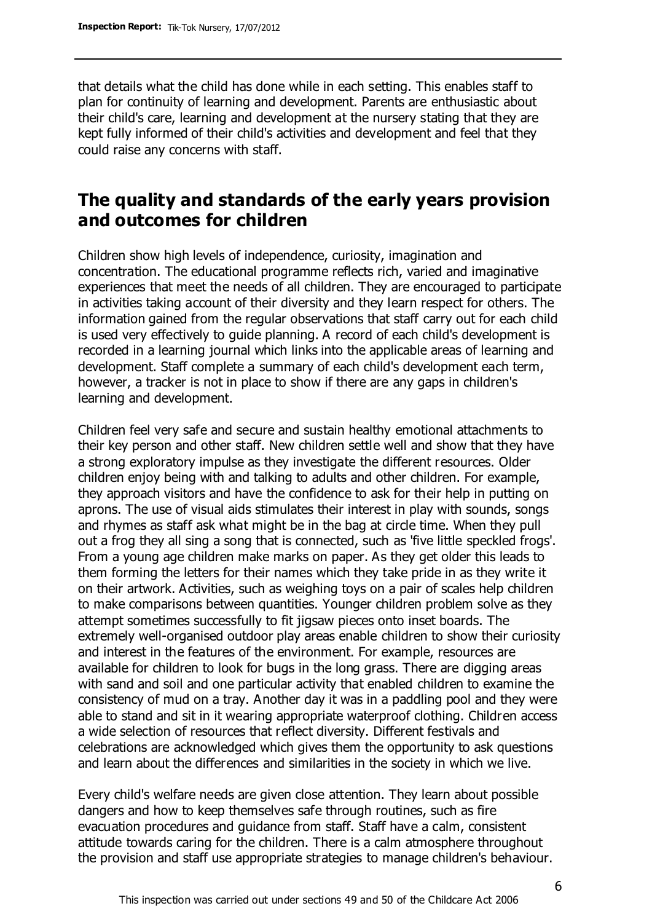that details what the child has done while in each setting. This enables staff to plan for continuity of learning and development. Parents are enthusiastic about their child's care, learning and development at the nursery stating that they are kept fully informed of their child's activities and development and feel that they could raise any concerns with staff.

### **The quality and standards of the early years provision and outcomes for children**

Children show high levels of independence, curiosity, imagination and concentration. The educational programme reflects rich, varied and imaginative experiences that meet the needs of all children. They are encouraged to participate in activities taking account of their diversity and they learn respect for others. The information gained from the regular observations that staff carry out for each child is used very effectively to guide planning. A record of each child's development is recorded in a learning journal which links into the applicable areas of learning and development. Staff complete a summary of each child's development each term, however, a tracker is not in place to show if there are any gaps in children's learning and development.

Children feel very safe and secure and sustain healthy emotional attachments to their key person and other staff. New children settle well and show that they have a strong exploratory impulse as they investigate the different resources. Older children enjoy being with and talking to adults and other children. For example, they approach visitors and have the confidence to ask for their help in putting on aprons. The use of visual aids stimulates their interest in play with sounds, songs and rhymes as staff ask what might be in the bag at circle time. When they pull out a frog they all sing a song that is connected, such as 'five little speckled frogs'. From a young age children make marks on paper. As they get older this leads to them forming the letters for their names which they take pride in as they write it on their artwork. Activities, such as weighing toys on a pair of scales help children to make comparisons between quantities. Younger children problem solve as they attempt sometimes successfully to fit jigsaw pieces onto inset boards. The extremely well-organised outdoor play areas enable children to show their curiosity and interest in the features of the environment. For example, resources are available for children to look for bugs in the long grass. There are digging areas with sand and soil and one particular activity that enabled children to examine the consistency of mud on a tray. Another day it was in a paddling pool and they were able to stand and sit in it wearing appropriate waterproof clothing. Children access a wide selection of resources that reflect diversity. Different festivals and celebrations are acknowledged which gives them the opportunity to ask questions and learn about the differences and similarities in the society in which we live.

Every child's welfare needs are given close attention. They learn about possible dangers and how to keep themselves safe through routines, such as fire evacuation procedures and guidance from staff. Staff have a calm, consistent attitude towards caring for the children. There is a calm atmosphere throughout the provision and staff use appropriate strategies to manage children's behaviour.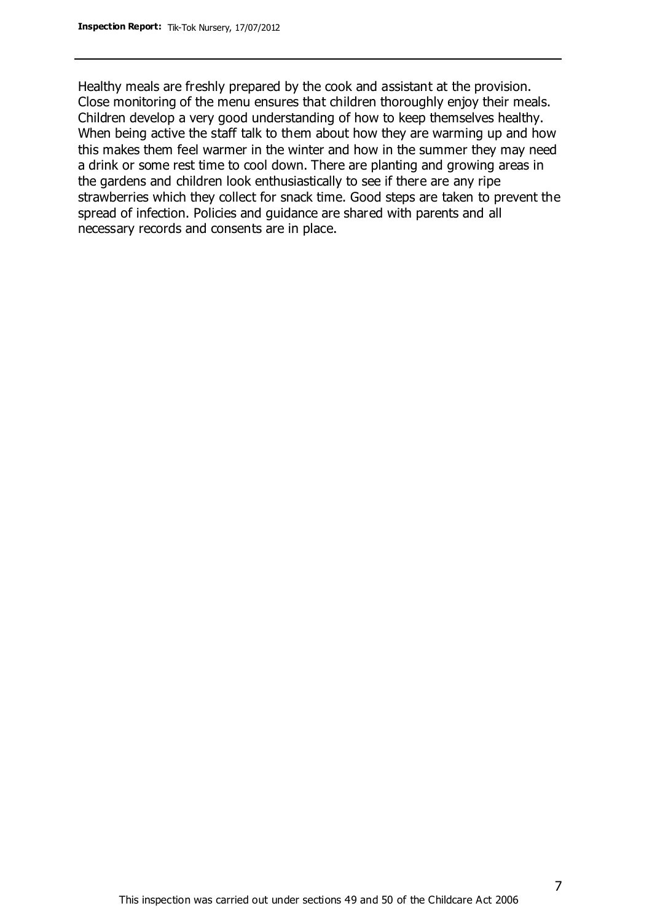Healthy meals are freshly prepared by the cook and assistant at the provision. Close monitoring of the menu ensures that children thoroughly enjoy their meals. Children develop a very good understanding of how to keep themselves healthy. When being active the staff talk to them about how they are warming up and how this makes them feel warmer in the winter and how in the summer they may need a drink or some rest time to cool down. There are planting and growing areas in the gardens and children look enthusiastically to see if there are any ripe strawberries which they collect for snack time. Good steps are taken to prevent the spread of infection. Policies and guidance are shared with parents and all necessary records and consents are in place.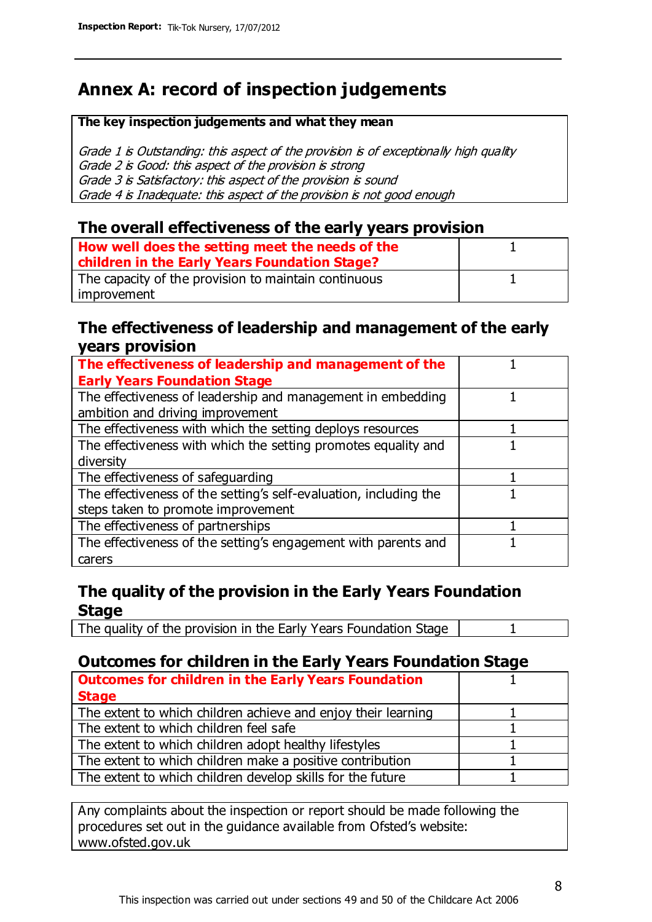### **Annex A: record of inspection judgements**

#### **The key inspection judgements and what they mean**

Grade 1 is Outstanding: this aspect of the provision is of exceptionally high quality Grade 2 is Good: this aspect of the provision is strong Grade 3 is Satisfactory: this aspect of the provision is sound Grade 4 is Inadequate: this aspect of the provision is not good enough

#### **The overall effectiveness of the early years provision**

| How well does the setting meet the needs of the<br>children in the Early Years Foundation Stage? |  |
|--------------------------------------------------------------------------------------------------|--|
| The capacity of the provision to maintain continuous                                             |  |
| improvement                                                                                      |  |

#### **The effectiveness of leadership and management of the early years provision**

| The effectiveness of leadership and management of the             |  |
|-------------------------------------------------------------------|--|
| <b>Early Years Foundation Stage</b>                               |  |
| The effectiveness of leadership and management in embedding       |  |
| ambition and driving improvement                                  |  |
| The effectiveness with which the setting deploys resources        |  |
| The effectiveness with which the setting promotes equality and    |  |
| diversity                                                         |  |
| The effectiveness of safeguarding                                 |  |
| The effectiveness of the setting's self-evaluation, including the |  |
| steps taken to promote improvement                                |  |
| The effectiveness of partnerships                                 |  |
| The effectiveness of the setting's engagement with parents and    |  |
| carers                                                            |  |

### **The quality of the provision in the Early Years Foundation Stage**

The quality of the provision in the Early Years Foundation Stage | 1

### **Outcomes for children in the Early Years Foundation Stage**

| <b>Outcomes for children in the Early Years Foundation</b>    |  |
|---------------------------------------------------------------|--|
| <b>Stage</b>                                                  |  |
| The extent to which children achieve and enjoy their learning |  |
| The extent to which children feel safe                        |  |
| The extent to which children adopt healthy lifestyles         |  |
| The extent to which children make a positive contribution     |  |
| The extent to which children develop skills for the future    |  |
|                                                               |  |

Any complaints about the inspection or report should be made following the procedures set out in the guidance available from Ofsted's website: www.ofsted.gov.uk